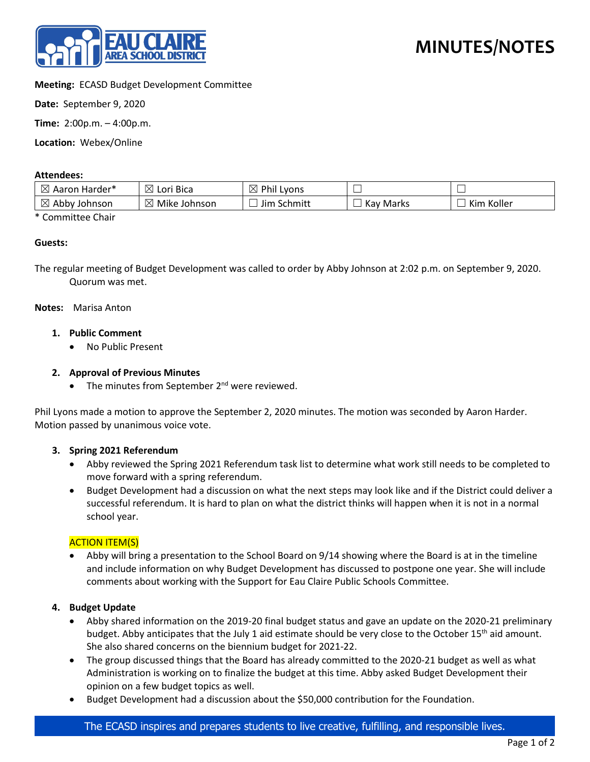

# **Meeting:** ECASD Budget Development Committee

**Date:** September 9, 2020

**Time:** 2:00p.m. – 4:00p.m.

**Location:** Webex/Online

#### **Attendees:**

| Harder*<br>╰<br>Aaron<br>I∧I              | $\boxtimes$<br>Bica<br>. Lor'  | $\boxtimes$<br>Phil<br>vons. | $-$          |               |
|-------------------------------------------|--------------------------------|------------------------------|--------------|---------------|
| $\checkmark$<br>Johnson<br>Abby<br>$\sim$ | $\boxtimes$<br>Johnson<br>Mike | ا Schmitt<br>Jim.<br>-       | Marks<br>кау | Koller<br>Kim |

\* Committee Chair

#### **Guests:**

The regular meeting of Budget Development was called to order by Abby Johnson at 2:02 p.m. on September 9, 2020. Quorum was met.

**Notes:** Marisa Anton

### **1. Public Comment**

• No Public Present

### **2. Approval of Previous Minutes**

• The minutes from September  $2^{nd}$  were reviewed.

Phil Lyons made a motion to approve the September 2, 2020 minutes. The motion was seconded by Aaron Harder. Motion passed by unanimous voice vote.

#### **3. Spring 2021 Referendum**

- Abby reviewed the Spring 2021 Referendum task list to determine what work still needs to be completed to move forward with a spring referendum.
- Budget Development had a discussion on what the next steps may look like and if the District could deliver a successful referendum. It is hard to plan on what the district thinks will happen when it is not in a normal school year.

## ACTION ITEM(S)

• Abby will bring a presentation to the School Board on 9/14 showing where the Board is at in the timeline and include information on why Budget Development has discussed to postpone one year. She will include comments about working with the Support for Eau Claire Public Schools Committee.

## **4. Budget Update**

- Abby shared information on the 2019-20 final budget status and gave an update on the 2020-21 preliminary budget. Abby anticipates that the July 1 aid estimate should be very close to the October 15th aid amount. She also shared concerns on the biennium budget for 2021-22.
- The group discussed things that the Board has already committed to the 2020-21 budget as well as what Administration is working on to finalize the budget at this time. Abby asked Budget Development their opinion on a few budget topics as well.
- Budget Development had a discussion about the \$50,000 contribution for the Foundation.